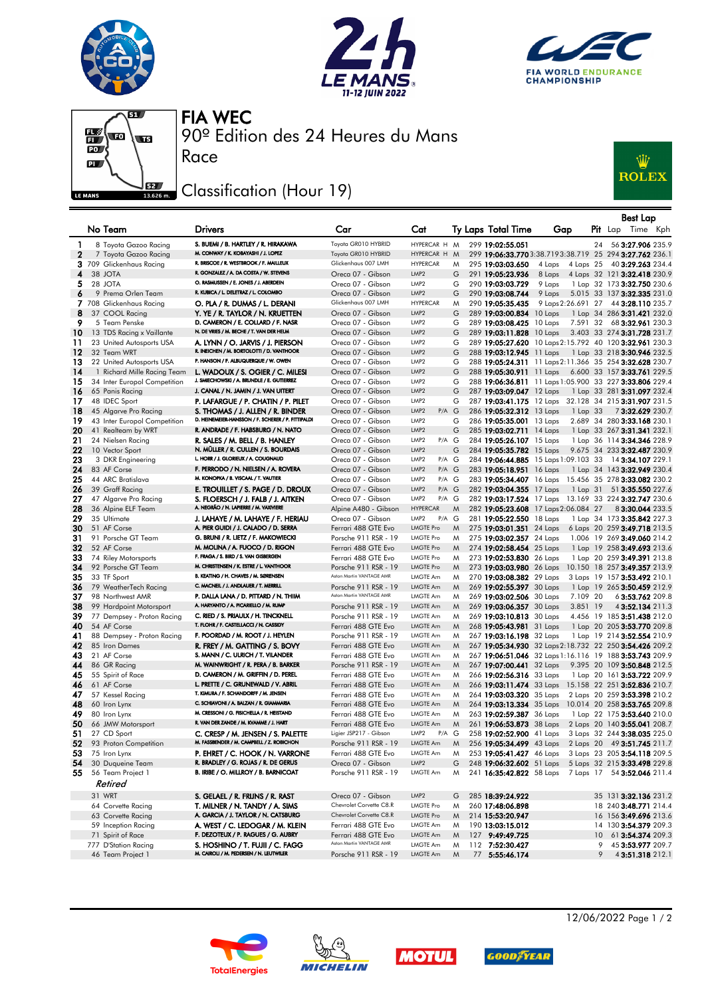







90º Edition des 24 Heures du Mans FIA WEC

## Classification (Hour 19)

Race



|          |                                                    |                                                                                        |                                                  |                                      |        |                                                      |                                      |    | <b>Best Lap</b>                                            |
|----------|----------------------------------------------------|----------------------------------------------------------------------------------------|--------------------------------------------------|--------------------------------------|--------|------------------------------------------------------|--------------------------------------|----|------------------------------------------------------------|
|          | No Team                                            | <b>Drivers</b>                                                                         | Car                                              | Cat                                  |        | Ty Laps Total Time                                   | Gap                                  |    | <b>Pit</b> Lap Time Kph                                    |
| 1        | 8 Toyota Gazoo Racing                              | S. BUEMI / B. HARTLEY / R. HIRAKAWA                                                    | Toyota GR010 HYBRID                              | HYPERCAR H M                         |        | 299 19:02:55.051                                     |                                      | 24 | 56 3:27.906 235.9                                          |
| 2        | 7 Toyota Gazoo Racing                              | M. CONWAY / K. KOBAYASHI / J. LOPEZ                                                    | Toyota GR010 HYBRID                              | HYPERCAR H                           | M      |                                                      |                                      |    | 299 19:06:33.770 3:38.719 3:38.719 25 294 3:27.762 236.1   |
|          | 3 709 Glickenhaus Racing                           | R. BRISCOE / R. WESTBROOK / F. MAILLEUX                                                | Glickenhaus 007 LMH                              | <b>HYPERCAR</b>                      | M      | 295 19:03:03.650                                     | 4 Laps                               |    | 4 Laps 25 40 3:29.263 234.4                                |
| 4        | 38 JOTA                                            | R. GONZALEZ / A. DA COSTA / W. STEVENS                                                 | Oreca 07 - Gibson                                | LMP <sub>2</sub>                     | G      | 291 19:05:23.936                                     | 8 Laps                               |    | 4 Laps 32 121 3:32.418 230.9                               |
| 5        | 28 JOTA                                            | O. RASMUSSEN / E. JONES / J. ABERDEIN                                                  | Oreca 07 - Gibson                                | LMP <sub>2</sub>                     | G      | 290 19:03:03.729                                     | 9 Laps                               |    | 1 Lap 32 173 3:32.750 230.6                                |
| 6        | 9 Prema Orlen Team                                 | R. KUBICA / L. DELETRAZ / L. COLOMBO                                                   | Oreca 07 - Gibson                                | LMP <sub>2</sub>                     | G      | 290 19:03:08.744                                     | 9 Laps                               |    | 5.015 33 137 3:32.335 231.0                                |
|          | 7 708 Glickenhaus Racing                           | O. PLA / R. DUMAS / L. DERANI                                                          | Glickenhaus 007 LMH                              | <b>HYPERCAR</b>                      | M      | 290 19:05:35.435                                     | 9 Laps 2:26.691 27                   |    | 44 3:28.110 235.7                                          |
| 8        | 37 COOL Racing                                     | Y. YE / R. TAYLOR / N. KRUETTEN                                                        | Oreca 07 - Gibson                                | LMP <sub>2</sub>                     | G      | 289 19:03:00.834 10 Laps                             |                                      |    | 1 Lap 34 286 3:31.421 232.0                                |
| 9        | 5 Team Penske                                      | D. CAMERON / E. COLLARD / F. NASR                                                      | Oreca 07 - Gibson                                | LMP <sub>2</sub>                     | G      | 289 19:03:08.425 10 Laps                             |                                      |    | 7.591 32 68 3:32.961 230.3                                 |
| 10       | 13 TDS Racing x Vaillante                          | N. DE VRIES / M. BECHE / T. VAN DER HELM                                               | Oreca 07 - Gibson                                | LMP <sub>2</sub>                     | G      | 289 19:03:11.828 10 Laps                             |                                      |    | 3.403 33 274 3:31.728 231.7                                |
| 11       | 23 United Autosports USA                           | A. LYNN / O. JARVIS / J. PIERSON                                                       | Oreca 07 - Gibson                                | LMP <sub>2</sub>                     | G      |                                                      |                                      |    | 289 19:05:27.620 10 Laps 2:15.792 40 120 3:32.961 230.3    |
| 12       | 32 Team WRT                                        | R. INEICHEN / M. BORTOLOTTI / D. VANTHOOR                                              | Oreca 07 - Gibson                                | LMP <sub>2</sub>                     | G      | 288 19:03:12.945 11 Laps                             |                                      |    | 1 Lap 33 218 3:30.946 232.5                                |
| 13       | 22 United Autosports USA                           | P. HANSON / F. ALBUQUERQUE / W. OWEN                                                   | Oreca 07 - Gibson                                | LMP <sub>2</sub>                     | G      |                                                      |                                      |    | 288 19:05:24.311 11 Laps 2:11.366 35 254 3:32.628 230.7    |
| 14       | 1 Richard Mille Racing Team                        | L. WADOUX / S. OGIER / C. MILESI                                                       | Oreca 07 - Gibson                                | LMP <sub>2</sub>                     | G      | 288 19:05:30.911 11 Laps                             |                                      |    | 6.600 33 157 3:33.761 229.5                                |
| 15       | 34 Inter Europol Competition                       | J. SMIECHOWSKI / A. BRUNDLE / E. GUTIERREZ                                             | Oreca 07 - Gibson                                | LMP <sub>2</sub>                     | G      |                                                      |                                      |    | 288 19:06:36.811 11 Laps 1:05.900 33 227 3:33.806 229.4    |
| 16       | 65 Panis Racing                                    | J. CANAL / N. JAMIN / J. VAN UITERT                                                    | Oreca 07 - Gibson                                | LMP <sub>2</sub>                     | G      | 287 19:03:09.047 12 Laps                             |                                      |    | 1 Lap 33 281 3:31.097 232.4                                |
| 17       | 48 IDEC Sport                                      | P. LAFARGUE / P. CHATIN / P. PILET                                                     | Oreca 07 - Gibson                                | LMP <sub>2</sub><br>LMP <sub>2</sub> | G      |                                                      |                                      |    | 287 19:03:41.175 12 Laps 32.128 34 215 3:31.907 231.5      |
| 18<br>19 | 45 Algarve Pro Racing                              | S. THOMAS / J. ALLEN / R. BINDER<br>D. HEINEMEIER-HANSSON / F. SCHERER / P. FITTIPALDI | Oreca 07 - Gibson<br>Oreca 07 - Gibson           | $P/A$ G<br>LMP <sub>2</sub>          | G      | 286 19:05:32.312 13 Laps<br>286 19:05:35.001 13 Laps | 1 Lap 33                             |    | 73:32.629 230.7                                            |
| 20       | 43 Inter Europol Competition<br>41 Realteam by WRT | R. ANDRADE / F. HABSBURG / N. NATO                                                     | Oreca 07 - Gibson                                | LMP <sub>2</sub>                     | G      | 285 19:03:02.711 14 Laps                             |                                      |    | 2.689 34 280 3:33.168 230.1<br>1 Lap 33 267 3:31.341 232.1 |
| 21       | 24 Nielsen Racing                                  | R. SALES / M. BELL / B. HANLEY                                                         | Oreca 07 - Gibson                                | LMP <sub>2</sub><br>P/A G            |        | 284 19:05:26.107 15 Laps                             |                                      |    | 1 Lap 36 114 3:34.346 228.9                                |
| 22       | 10 Vector Sport                                    | N. MÜLLER / R. CULLEN / S. BOURDAIS                                                    | Oreca 07 - Gibson                                | LMP <sub>2</sub>                     | G      | 284 19:05:35.782 15 Laps                             |                                      |    | 9.675 34 233 3:32.487 230.9                                |
| 23       | 3 DKR Engineering                                  | L. HORR / J. GLORIEUX / A. COUGNAUD                                                    | Oreca 07 - Gibson                                | LMP2<br>P/A G                        |        |                                                      |                                      |    | 284 19:06:44.885 15 Laps 1:09.103 33 14 3:34.107 229.1     |
| 24       | 83 AF Corse                                        | F. PERRODO / N. NIELSEN / A. ROVERA                                                    | Oreca 07 - Gibson                                | LMP <sub>2</sub><br>$P/A$ $G$        |        | 283 19:05:18.951 16 Laps                             |                                      |    | 1 Lap 34 143 3:32.949 230.4                                |
| 25       | 44 ARC Bratislava                                  | M. KONOPKA / B. VISCAAL / T. VAUTIER                                                   | Oreca 07 - Gibson                                | LMP <sub>2</sub><br>P/A G            |        |                                                      |                                      |    | 283 19:05:34.407 16 Laps 15.456 35 278 3:33.082 230.2      |
| 26       | 39 Graff Racing                                    | E. TROUILLET / S. PAGE / D. DROUX                                                      | Oreca 07 - Gibson                                | LMP <sub>2</sub><br>$P/A$ G          |        | 282 19:03:04.355 17 Laps                             |                                      |    | 1 Lap 31 51 3:35.550 227.6                                 |
| 27       | 47 Algarve Pro Racing                              | S. FLOERSCH / J. FALB / J. AITKEN                                                      | Oreca 07 - Gibson                                | LMP <sub>2</sub><br>P/A G            |        |                                                      |                                      |    | 282 19:03:17.524 17 Laps 13.169 33 224 3:32.747 230.6      |
| 28       | 36 Alpine ELF Team                                 | A. NEGRÃO / N. LAPIERRE / M. VAXIVIERE                                                 | Alpine A480 - Gibson                             | <b>HYPERCAR</b>                      | M      |                                                      | 282 19:05:23.608 17 Laps 2:06.084 27 |    | 83:30.044 233.5                                            |
| 29       | 35 Ultimate                                        | J. LAHAYE / M. LAHAYE / F. HERIAU                                                      | Oreca 07 - Gibson                                | LMP <sub>2</sub><br>P/A G            |        | 281 19:05:22.550 18 Laps                             |                                      |    | 1 Lap 34 173 3:35.842 227.3                                |
| 30       | 51 AF Corse                                        | A. PIER GUIDI / J. CALADO / D. SERRA                                                   | Ferrari 488 GTE Evo                              | <b>LMGTE Pro</b>                     | M      | 275 19:03:01.351 24 Laps                             |                                      |    | 6 Laps 20 259 3:49.718 213.5                               |
| 31       | 91 Porsche GT Team                                 | G. BRUNI / R. LIETZ / F. MAKOWIECKI                                                    | Porsche 911 RSR - 19                             | <b>LMGTE Pro</b>                     | M      | 275 19:03:02.357 24 Laps                             |                                      |    | 1.006 19 269 3:49.060 214.2                                |
| 32       | 52 AF Corse                                        | M. MOLINA / A. FUOCO / D. RIGON                                                        | Ferrari 488 GTE Evo                              | <b>LMGTE Pro</b>                     | M      | 274 19:02:58.454 25 Laps                             |                                      |    | 1 Lap 19 258 3:49.693 213.6                                |
| 33       | 74 Riley Motorsports                               | F. FRAGA / S. BIRD / S. VAN GISBERGEN                                                  | Ferrari 488 GTE Evo                              | <b>LMGTE Pro</b>                     | M      | 273 19:02:53.830 26 Laps                             |                                      |    | 1 Lap 20 259 3:49.391 213.8                                |
| 34       | 92 Porsche GT Team                                 | M. CHRISTENSEN / K. ESTRE / L. VANTHOOR                                                | Porsche 911 RSR - 19                             | <b>LMGTE Pro</b>                     | M      | 273 19:03:03.980 26 Laps                             |                                      |    | 10.150 18 257 3:49.357 213.9                               |
| 35       | 33 TF Sport                                        | B. KEATING / H. CHAVES / M. SØRENSEN<br>C. MACNEIL / J. ANDLAUER / T. MERRILL          | Aston Martin VANTAGE AMR                         | LMGTE Am                             | M      | 270 19:03:08.382 29 Laps                             |                                      |    | 3 Laps 19 157 3:53.492 210.1                               |
| 36       | 79 WeatherTech Racing                              |                                                                                        | Porsche 911 RSR - 19<br>Aston Martin VANTAGE AMR | LMGTE Am                             | M      | 269 19:02:55.397 30 Laps                             |                                      |    | 1 Lap 19 265 3:50.459 212.9                                |
| 37       | 98 Northwest AMR                                   | P. DALLA LANA / D. PITTARD / N. THIM<br>A. HARYANTO / A. PICARIELLO / M. RUMP          |                                                  | LMGTE Am                             | M      | 269 19:03:02.506 30 Laps                             | 7.109 20                             |    | 6 3:53.762 209.8                                           |
| 38<br>39 | 99 Hardpoint Motorsport                            | C. RIED / S. PRIAULX / H. TINCKNELL                                                    | Porsche 911 RSR - 19                             | LMGTE Am<br>LMGTE Am                 | M      | 269 19:03:06.357 30 Laps                             | 3.851 19                             |    | 4 3:52.134 211.3                                           |
| 40       | 77 Dempsey - Proton Racing<br>54 AF Corse          | T. FLOHR / F. CASTELLACCI / N. CASSIDY                                                 | Porsche 911 RSR - 19<br>Ferrari 488 GTE Evo      | LMGTE Am                             | M<br>M | 269 19:03:10.813 30 Laps<br>268 19:05:43.981 31 Laps |                                      |    | 4.456 19 185 3:51.438 212.0<br>1 Lap 20 205 3:53.770 209.8 |
| 41       | 88 Dempsey - Proton Racing                         | F. POORDAD / M. ROOT / J. HEYLEN                                                       | Porsche 911 RSR - 19                             | LMGTE Am                             | M      | 267 19:03:16.198 32 Laps                             |                                      |    | 1 Lap 19 214 3:52.554 210.9                                |
| 42       | 85 Iron Dames                                      | R. FREY / M. GATTING / S. BOVY                                                         | Ferrari 488 GTE Evo                              | LMGTE Am                             | M      |                                                      |                                      |    | 267 19:05:34.930 32 Laps 2:18.732 22 250 3:54.426 209.2    |
| 43       | 21 AF Corse                                        | S. MANN / C. ULRICH / T. VILANDER                                                      | Ferrari 488 GTE Evo                              | LMGTE Am                             | M      |                                                      |                                      |    | 267 19:06:51.046 32 Laps 1:16.116 19 188 3:53.743 209.9    |
| 44       | 86 GR Racing                                       | M. WAINWRIGHT / R. PERA / B. BARKER                                                    | Porsche 911 RSR - 19                             | LMGTE Am                             | M      | 267 19:07:00.441 32 Laps                             |                                      |    | 9.395 20 109 3:50.848 212.5                                |
| 45       | 55 Spirit of Race                                  | D. CAMERON / M. GRIFFIN / D. PEREL                                                     | Ferrari 488 GTE Evo                              | LMGTE Am                             | M      | 266 19:02:56.316 33 Laps                             |                                      |    | 1 Lap 20 161 3:53.722 209.9                                |
| 46       | 61 AF Corse                                        | L. PRETTE / C. GRUNEWALD / V. ABRIL                                                    | Ferrari 488 GTE Evo                              | LMGTE Am                             | M      | 266 19:03:11.474 33 Laps                             |                                      |    | 15.158 22 251 3:52.836 210.7                               |
| 47       | 57 Kessel Racing                                   | T. KIMURA / F. SCHANDORFF / M. JENSEN                                                  | Ferrari 488 GTE Evo                              | LMGTE Am                             | M      | 264 19:03:03.320 35 Laps                             |                                      |    | 2 Laps 20 259 3:53.398 210.2                               |
| 48       | 60 Iron Lynx                                       | C. SCHIAVONI / A. BALZAN / R. GIAMMARIA                                                | Ferrari 488 GTE Evo                              | LMGTE Am                             | M      | 264 19:03:13.334 35 Laps                             |                                      |    | 10.014 20 258 3:53.765 209.8                               |
| 49       | 80 Iron Lynx                                       | M. CRESSONI / G. FISICHELLA / R. HEISTAND                                              | Ferrari 488 GTE Evo                              | LMGTE Am                             | M      | 263 19:02:59.387 36 Laps                             |                                      |    | 1 Lap 22 175 3:53.640 210.0                                |
| 50       | 66 JMW Motorsport                                  | R. VAN DER ZANDE / M. KVAMME / J. HART                                                 | Ferrari 488 GTE Evo                              | LMGTE Am                             | M      | 261 19:06:53.873 38 Laps                             |                                      |    | 2 Laps 20 140 3:55.041 208.7                               |
| 51       | 27 CD Sport                                        | C. CRESP / M. JENSEN / S. PALETTE                                                      | Ligier JSP217 - Gibson                           | LMP2<br>$P/A$ $G$                    |        | 258 19:02:52.900 41 Laps                             |                                      |    | 3 Laps 32 244 3:38.035 225.0                               |
|          | 52 93 Proton Competition                           | M. FASSBENDER / M. CAMPBELL / Z. ROBICHON                                              | Porsche 911 RSR - 19                             | LMGTE Am                             |        |                                                      |                                      |    | 256 19:05:34.499 43 Laps 2 Laps 20 49 3:51.745 211.7       |
| 53       | 75 Iron Lynx                                       | P. EHRET / C. HOOK / N. VARRONE                                                        | Ferrari 488 GTE Evo                              | LMGTE Am                             | M      |                                                      |                                      |    | 253 19:05:41.427 46 Laps 3 Laps 23 205 3:54.118 209.5      |
| 54       | 30 Duqueine Team                                   | R. BRADLEY / G. ROJAS / R. DE GERUS                                                    | Oreca 07 - Gibson                                | LMP <sub>2</sub>                     | G      |                                                      |                                      |    | 248 19:06:32.602 51 Laps 5 Laps 32 215 3:33.498 229.8      |
| 55       | 56 Team Project 1                                  | B. IRIBE / O. MILLROY / B. BARNICOAT                                                   | Porsche 911 RSR - 19                             | LMGTE Am                             | M      |                                                      |                                      |    | 241 16:35:42.822 58 Laps 7 Laps 17 54 3:52.046 211.4       |
|          | Retired                                            |                                                                                        |                                                  |                                      |        |                                                      |                                      |    |                                                            |
|          | 31 WRT                                             | S. GELAEL / R. FRIJNS / R. RAST                                                        | Oreca 07 - Gibson                                | LMP <sub>2</sub>                     | G      | 285 18:39:24.922                                     |                                      |    | 35 131 3:32.136 231.2                                      |
|          | 64 Corvette Racing                                 | T. MILNER / N. TANDY / A. SIMS                                                         | Chevrolet Corvette C8.R                          | <b>LMGTE Pro</b>                     | M      | 260 17:48:06.898                                     |                                      |    | 18 240 3:48.771 214.4                                      |
|          | 63 Corvette Racing                                 | A. GARCIA / J. TAYLOR / N. CATSBURG                                                    | Chevrolet Corvette C8.R                          | <b>LMGTE Pro</b>                     | M      | 214 15:53:20.947                                     |                                      |    | 16 156 3:49.696 213.6                                      |
|          | 59 Inception Racing                                | A. WEST / C. LEDOGAR / M. KLEIN                                                        | Ferrari 488 GTE Evo                              | LMGTE Am                             | M      | 190 13:03:15.012                                     |                                      |    | 14 130 3:54.379 209.3                                      |
|          | 71 Spirit of Race                                  | F. DEZOTEUX / P. RAGUES / G. AUBRY                                                     | Ferrari 488 GTE Evo                              | LMGTE Am                             | M      | 127 9:49:49.725                                      |                                      | 10 | 61 3:54.374 209.3                                          |
|          | 777 D'Station Racing                               | S. HOSHINO / T. FUJII / C. FAGG<br>M. CAIROLI / M. PEDERSEN / N. LEUTWILER             | Aston Martin VANTAGE AMR                         | LMGTE Am                             | M      | 112 7:52:30.427                                      |                                      | 9  | 45 3:53.977 209.7                                          |
|          | 46 Team Project 1                                  |                                                                                        | Porsche 911 RSR - 19                             | LMGTE Am                             | M      | 77 5:55:46.174                                       |                                      | 9  | 4 3:51.318 212.1                                           |









12/06/2022 Page 1 / 2